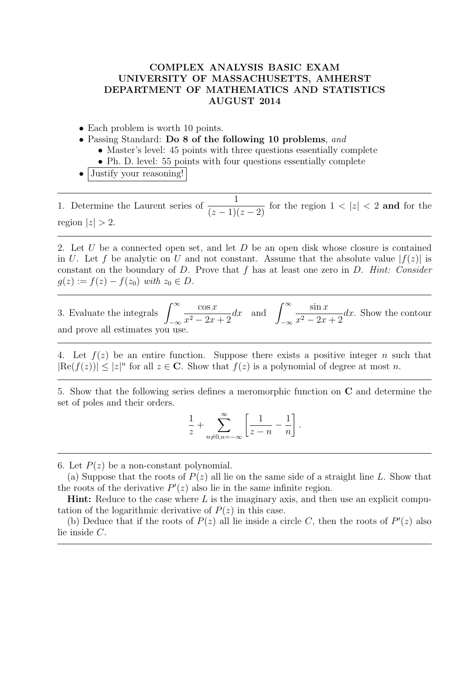## COMPLEX ANALYSIS BASIC EXAM UNIVERSITY OF MASSACHUSETTS, AMHERST DEPARTMENT OF MATHEMATICS AND STATISTICS AUGUST 2014

- Each problem is worth 10 points.
- Passing Standard: Do 8 of the following 10 problems, and
	- Master's level: 45 points with three questions essentially complete
	- Ph. D. level: 55 points with four questions essentially complete
- Justify your reasoning!

1. Determine the Laurent series of  $\frac{1}{(z-1)(z-2)}$  for the region  $1 < |z| < 2$  and for the region  $|z| > 2$ .

2. Let U be a connected open set, and let  $D$  be an open disk whose closure is contained in U. Let f be analytic on U and not constant. Assume that the absolute value  $|f(z)|$  is constant on the boundary of  $D$ . Prove that  $f$  has at least one zero in  $D$ . Hint: Consider  $g(z) := f(z) - f(z_0)$  with  $z_0 \in D$ .

3. Evaluate the integrals  $\int^{\infty}$  $-\infty$  $\cos x$  $x^2 - 2x + 2$ dx and  $\int^{\infty}$  $-\infty$  $\sin x$  $\frac{\sin x}{x^2-2x+2}$  dx. Show the contour and prove all estimates you use.

4. Let  $f(z)$  be an entire function. Suppose there exists a positive integer n such that  $|\text{Re}(f(z))| \leq |z|^n$  for all  $z \in \mathbb{C}$ . Show that  $f(z)$  is a polynomial of degree at most n.

5. Show that the following series defines a meromorphic function on C and determine the set of poles and their orders.

$$
\frac{1}{z} + \sum_{n \neq 0, n = -\infty}^{\infty} \left[ \frac{1}{z - n} - \frac{1}{n} \right].
$$

6. Let  $P(z)$  be a non-constant polynomial.

(a) Suppose that the roots of  $P(z)$  all lie on the same side of a straight line L. Show that the roots of the derivative  $P'(z)$  also lie in the same infinite region.

**Hint:** Reduce to the case where  $L$  is the imaginary axis, and then use an explicit computation of the logarithmic derivative of  $P(z)$  in this case.

(b) Deduce that if the roots of  $P(z)$  all lie inside a circle C, then the roots of  $P'(z)$  also lie inside C.